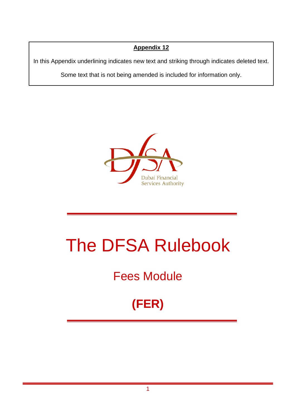## **Appendix 12**

In this Appendix underlining indicates new text and striking through indicates deleted text.

Some text that is not being amended is included for information only.



# The DFSA Rulebook

## Fees Module

## **(FER)**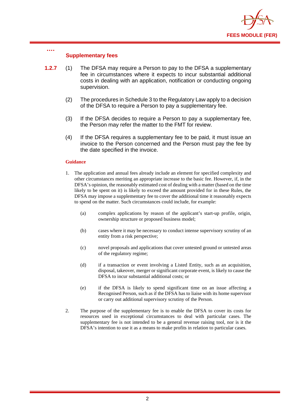

#### **Supplementary fees**

**….**

- **1.2.7** (1) The DFSA may require a Person to pay to the DFSA a supplementary fee in circumstances where it expects to incur substantial additional costs in dealing with an application, notification or conducting ongoing supervision.
	- (2) The procedures in Schedule 3 to the Regulatory Law apply to a decision of the DFSA to require a Person to pay a supplementary fee.
	- (3) If the DFSA decides to require a Person to pay a supplementary fee, the Person may refer the matter to the FMT for review.
	- (4) If the DFSA requires a supplementary fee to be paid, it must issue an invoice to the Person concerned and the Person must pay the fee by the date specified in the invoice.

#### **Guidance**

- 1. The application and annual fees already include an element for specified complexity and other circumstances meriting an appropriate increase to the basic fee. However, if, in the DFSA's opinion, the reasonably estimated cost of dealing with a matter (based on the time likely to be spent on it) is likely to exceed the amount provided for in these Rules, the DFSA may impose a supplementary fee to cover the additional time it reasonably expects to spend on the matter. Such circumstances could include, for example:
	- (a) complex applications by reason of the applicant's start-up profile, origin, ownership structure or proposed business model;
	- (b) cases where it may be necessary to conduct intense supervisory scrutiny of an entity from a risk perspective;
	- (c) novel proposals and applications that cover untested ground or untested areas of the regulatory regime;
	- (d) if a transaction or event involving a Listed Entity, such as an acquisition, disposal, takeover, merger or significant corporate event, is likely to cause the DFSA to incur substantial additional costs; or
	- (e) if the DFSA is likely to spend significant time on an issue affecting a Recognised Person, such as if the DFSA has to liaise with its home supervisor or carry out additional supervisory scrutiny of the Person.
- 2. The purpose of the supplementary fee is to enable the DFSA to cover its costs for resources used in exceptional circumstances to deal with particular cases. The supplementary fee is not intended to be a general revenue raising tool, nor is it the DFSA's intention to use it as a means to make profits in relation to particular cases.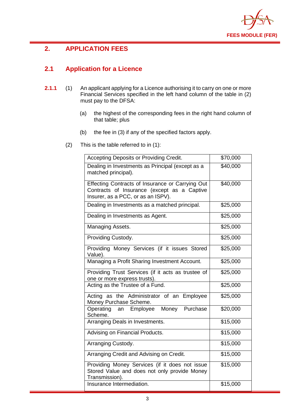

## **2. APPLICATION FEES**

## **2.1 Application for a Licence**

- **2.1.1** (1) An applicant applying for a Licence authorising it to carry on one or more Financial Services specified in the left hand column of the table in (2) must pay to the DFSA:
	- (a) the highest of the corresponding fees in the right hand column of that table; plus
	- (b) the fee in (3) if any of the specified factors apply.
	- (2) This is the table referred to in (1):

| Accepting Deposits or Providing Credit.                                                                                               | \$70,000 |
|---------------------------------------------------------------------------------------------------------------------------------------|----------|
| Dealing in Investments as Principal (except as a<br>matched principal).                                                               | \$40,000 |
| Effecting Contracts of Insurance or Carrying Out<br>Contracts of Insurance (except as a Captive<br>Insurer, as a PCC, or as an ISPV). | \$40,000 |
| Dealing in Investments as a matched principal.                                                                                        | \$25,000 |
| Dealing in Investments as Agent.                                                                                                      | \$25,000 |
| Managing Assets.                                                                                                                      | \$25,000 |
| Providing Custody.                                                                                                                    | \$25,000 |
| Providing Money Services (if it issues Stored<br>Value).                                                                              | \$25,000 |
| Managing a Profit Sharing Investment Account.                                                                                         | \$25,000 |
| Providing Trust Services (if it acts as trustee of<br>one or more express trusts).                                                    | \$25,000 |
| Acting as the Trustee of a Fund.                                                                                                      | \$25,000 |
| Acting as the Administrator of an Employee<br>Money Purchase Scheme.                                                                  | \$25,000 |
| an Employee Money Purchase<br>Operating<br>Scheme.                                                                                    | \$20,000 |
| Arranging Deals in Investments.                                                                                                       | \$15,000 |
| Advising on Financial Products.                                                                                                       | \$15,000 |
| Arranging Custody.                                                                                                                    | \$15,000 |
| Arranging Credit and Advising on Credit.                                                                                              | \$15,000 |
| Providing Money Services (if it does not issue<br>Stored Value and does not only provide Money<br>Transmission).                      | \$15,000 |
| Insurance Intermediation.                                                                                                             | \$15,000 |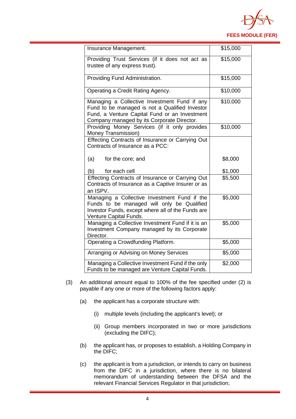

| Insurance Management.                             | \$15,000 |
|---------------------------------------------------|----------|
|                                                   |          |
| Providing Trust Services (if it does not act as   | \$15,000 |
| trustee of any express trust).                    |          |
|                                                   |          |
| Providing Fund Administration.                    | \$15,000 |
|                                                   |          |
| Operating a Credit Rating Agency.                 | \$10,000 |
| Managing a Collective Investment Fund if any      | \$10,000 |
| Fund to be managed is not a Qualified Investor    |          |
| Fund, a Venture Capital Fund or an Investment     |          |
| Company managed by its Corporate Director.        |          |
| Providing Money Services (if it only provides     | \$10,000 |
| Money Transmission)                               |          |
| Effecting Contracts of Insurance or Carrying Out  |          |
| Contracts of Insurance as a PCC:                  |          |
|                                                   |          |
| (a)<br>for the core; and                          | \$8,000  |
|                                                   |          |
| (b)<br>for each cell                              | \$1,000  |
| Effecting Contracts of Insurance or Carrying Out  | \$5,500  |
| Contracts of Insurance as a Captive Insurer or as |          |
| an ISPV.                                          |          |
| Managing a Collective Investment Fund if the      | \$5,000  |
| Funds to be managed will only be Qualified        |          |
| Investor Funds, except where all of the Funds are |          |
| Venture Capital Funds.                            |          |
| Managing a Collective Investment Fund if it is an | \$5,000  |
| Investment Company managed by its Corporate       |          |
| Director.                                         |          |
| Operating a Crowdfunding Platform.                | \$5,000  |
| Arranging or Advising on Money Services           | \$5,000  |
|                                                   |          |
| Managing a Collective Investment Fund if the only | \$2,000  |
| Funds to be managed are Venture Capital Funds.    |          |

- (3) An additional amount equal to 100% of the fee specified under (2) is payable if any one or more of the following factors apply:
	- (a) the applicant has a corporate structure with:
		- (i) multiple levels (including the applicant's level); or
		- (ii) Group members incorporated in two or more jurisdictions (excluding the DIFC);
	- (b) the applicant has, or proposes to establish, a Holding Company in the DIFC;
	- (c) the applicant is from a jurisdiction, or intends to carry on business from the DIFC in a jurisdiction, where there is no bilateral memorandum of understanding between the DFSA and the relevant Financial Services Regulator in that jurisdiction;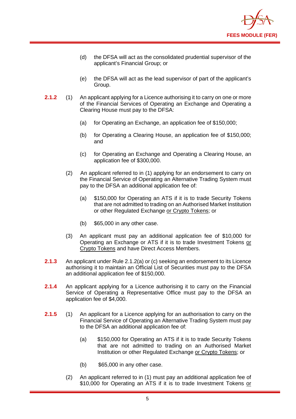

- (d) the DFSA will act as the consolidated prudential supervisor of the applicant's Financial Group; or
- (e) the DFSA will act as the lead supervisor of part of the applicant's Group.
- **2.1.2** (1) An applicant applying for a Licence authorising it to carry on one or more of the Financial Services of Operating an Exchange and Operating a Clearing House must pay to the DFSA:
	- (a) for Operating an Exchange, an application fee of \$150,000;
	- (b) for Operating a Clearing House, an application fee of \$150,000; and
	- (c) for Operating an Exchange and Operating a Clearing House, an application fee of \$300,000.
	- (2) An applicant referred to in (1) applying for an endorsement to carry on the Financial Service of Operating an Alternative Trading System must pay to the DFSA an additional application fee of:
		- (a) \$150,000 for Operating an ATS if it is to trade Security Tokens that are not admitted to trading on an Authorised Market Institution or other Regulated Exchange or Crypto Tokens; or
		- (b) \$65,000 in any other case.
	- (3) An applicant must pay an additional application fee of \$10,000 for Operating an Exchange or ATS if it is to trade Investment Tokens or Crypto Tokens and have Direct Access Members.
- **2.1.3** An applicant under Rule 2.1.2(a) or (c) seeking an endorsement to its Licence authorising it to maintain an Official List of Securities must pay to the DFSA an additional application fee of \$150,000.
- **2.1.4** An applicant applying for a Licence authorising it to carry on the Financial Service of Operating a Representative Office must pay to the DFSA an application fee of \$4,000.
- **2.1.5** (1) An applicant for a Licence applying for an authorisation to carry on the Financial Service of Operating an Alternative Trading System must pay to the DFSA an additional application fee of:
	- (a) \$150,000 for Operating an ATS if it is to trade Security Tokens that are not admitted to trading on an Authorised Market Institution or other Regulated Exchange or Crypto Tokens; or
	- (b) \$65,000 in any other case.
	- (2) An applicant referred to in (1) must pay an additional application fee of \$10,000 for Operating an ATS if it is to trade Investment Tokens or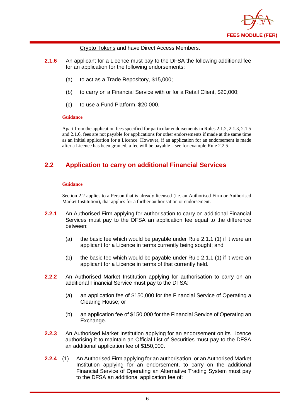

Crypto Tokens and have Direct Access Members.

- **2.1.6** An applicant for a Licence must pay to the DFSA the following additional fee for an application for the following endorsements:
	- (a) to act as a Trade Repository, \$15,000;
	- (b) to carry on a Financial Service with or for a Retail Client, \$20,000;
	- (c) to use a Fund Platform, \$20,000.

#### **Guidance**

Apart from the application fees specified for particular endorsements in Rules 2.1.2, 2.1.3, 2.1.5 and 2.1.6, fees are not payable for applications for other endorsements if made at the same time as an initial application for a Licence. However, if an application for an endorsement is made after a Licence has been granted, a fee will be payable – see for example Rule 2.2.5.

## **2.2 Application to carry on additional Financial Services**

#### **Guidance**

Section 2.2 applies to a Person that is already licensed (i.e. an Authorised Firm or Authorised Market Institution), that applies for a further authorisation or endorsement.

- **2.2.1** An Authorised Firm applying for authorisation to carry on additional Financial Services must pay to the DFSA an application fee equal to the difference between:
	- (a) the basic fee which would be payable under Rule 2.1.1 (1) if it were an applicant for a Licence in terms currently being sought; and
	- (b) the basic fee which would be payable under Rule 2.1.1 (1) if it were an applicant for a Licence in terms of that currently held.
- **2.2.2** An Authorised Market Institution applying for authorisation to carry on an additional Financial Service must pay to the DFSA:
	- (a) an application fee of \$150,000 for the Financial Service of Operating a Clearing House; or
	- (b) an application fee of \$150,000 for the Financial Service of Operating an Exchange.
- **2.2.3** An Authorised Market Institution applying for an endorsement on its Licence authorising it to maintain an Official List of Securities must pay to the DFSA an additional application fee of \$150,000.
- **2.2.4** (1) An Authorised Firm applying for an authorisation, or an Authorised Market Institution applying for an endorsement, to carry on the additional Financial Service of Operating an Alternative Trading System must pay to the DFSA an additional application fee of: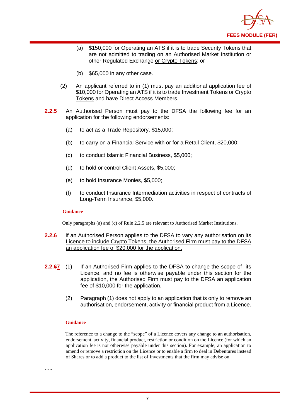

- (a) \$150,000 for Operating an ATS if it is to trade Security Tokens that are not admitted to trading on an Authorised Market Institution or other Regulated Exchange or Crypto Tokens; or
- (b) \$65,000 in any other case.
- (2) An applicant referred to in (1) must pay an additional application fee of \$10,000 for Operating an ATS if it is to trade Investment Tokens or Crypto Tokens and have Direct Access Members.
- **2.2.5** An Authorised Person must pay to the DFSA the following fee for an application for the following endorsements:
	- (a) to act as a Trade Repository, \$15,000;
	- (b) to carry on a Financial Service with or for a Retail Client, \$20,000;
	- (c) to conduct Islamic Financial Business, \$5,000;
	- (d) to hold or control Client Assets, \$5,000;
	- (e) to hold Insurance Monies, \$5,000;
	- (f) to conduct Insurance Intermediation activities in respect of contracts of Long-Term Insurance, \$5,000.

#### **Guidance**

Only paragraphs (a) and (c) of Rule 2.2.5 are relevant to Authorised Market Institutions.

- **2.2.6** If an Authorised Person applies to the DFSA to vary any authorisation on its Licence to include Crypto Tokens, the Authorised Firm must pay to the DFSA an application fee of \$20,000 for the application.
- **2.2.67** (1) If an Authorised Firm applies to the DFSA to change the scope of its Licence, and no fee is otherwise payable under this section for the application, the Authorised Firm must pay to the DFSA an application fee of \$10,000 for the application.
	- (2) Paragraph (1) does not apply to an application that is only to remove an authorisation, endorsement, activity or financial product from a Licence.

#### **Guidance**

The reference to a change to the "scope" of a Licence covers any change to an authorisation, endorsement, activity, financial product, restriction or condition on the Licence (for which an application fee is not otherwise payable under this section). For example, an application to amend or remove a restriction on the Licence or to enable a firm to deal in Debentures instead of Shares or to add a product to the list of Investments that the firm may advise on.

……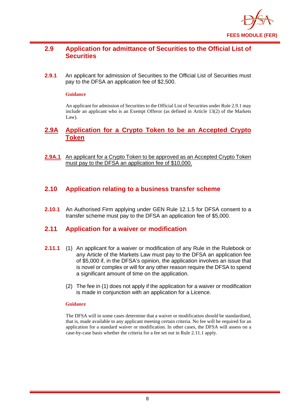

## **2.9 Application for admittance of Securities to the Official List of Securities**

**2.9.1** An applicant for admission of Securities to the Official List of Securities must pay to the DFSA an application fee of \$2,500.

#### **Guidance**

An applicant for admission of Securities to the Official List of Securities under Rule 2.9.1 may include an applicant who is an Exempt Offeror (as defined in Article 13(2) of the Markets Law).

## **2.9A Application for a Crypto Token to be an Accepted Crypto Token**

**2.9A.1** An applicant for a Crypto Token to be approved as an Accepted Crypto Token must pay to the DFSA an application fee of \$10,000.

### **2.10 Application relating to a business transfer scheme**

**2.10.1** An Authorised Firm applying under GEN Rule 12.1.5 for DFSA consent to a transfer scheme must pay to the DFSA an application fee of \$5,000.

### **2.11 Application for a waiver or modification**

- **2.11.1** (1) An applicant for a waiver or modification of any Rule in the Rulebook or any Article of the Markets Law must pay to the DFSA an application fee of \$5,000 if, in the DFSA's opinion, the application involves an issue that is novel or complex or will for any other reason require the DFSA to spend a significant amount of time on the application.
	- (2) The fee in (1) does not apply if the application for a waiver or modification is made in conjunction with an application for a Licence.

#### **Guidance**

The DFSA will in some cases determine that a waiver or modification should be standardised, that is, made available to any applicant meeting certain criteria. No fee will be required for an application for a standard waiver or modification. In other cases, the DFSA will assess on a case-by-case basis whether the criteria for a fee set out in Rule 2.11.1 apply.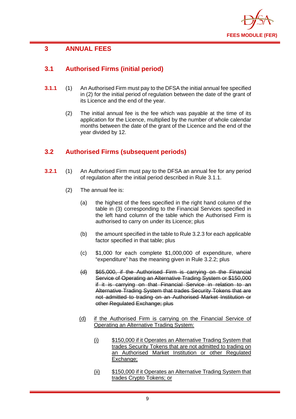

## **3 ANNUAL FEES**

## **3.1 Authorised Firms (initial period)**

- **3.1.1** (1) An Authorised Firm must pay to the DFSA the initial annual fee specified in (2) for the initial period of regulation between the date of the grant of its Licence and the end of the year.
	- (2) The initial annual fee is the fee which was payable at the time of its application for the Licence, multiplied by the number of whole calendar months between the date of the grant of the Licence and the end of the year divided by 12.

## **3.2 Authorised Firms (subsequent periods)**

- **3.2.1** (1) An Authorised Firm must pay to the DFSA an annual fee for any period of regulation after the initial period described in Rule 3.1.1.
	- (2) The annual fee is:
		- (a) the highest of the fees specified in the right hand column of the table in (3) corresponding to the Financial Services specified in the left hand column of the table which the Authorised Firm is authorised to carry on under its Licence; plus
		- (b) the amount specified in the table to Rule 3.2.3 for each applicable factor specified in that table; plus
		- (c) \$1,000 for each complete \$1,000,000 of expenditure, where "expenditure" has the meaning given in Rule 3.2.2; plus
		- (d) \$65,000, if the Authorised Firm is carrying on the Financial Service of Operating an Alternative Trading System or \$150,000 if it is carrying on that Financial Service in relation to an Alternative Trading System that trades Security Tokens that are not admitted to trading on an Authorised Market Institution or other Regulated Exchange; plus
		- (d) if the Authorised Firm is carrying on the Financial Service of Operating an Alternative Trading System:
			- (i) \$150,000 if it Operates an Alternative Trading System that trades Security Tokens that are not admitted to trading on an Authorised Market Institution or other Regulated Exchange;
			- (ii) \$150,000 if it Operates an Alternative Trading System that trades Crypto Tokens; or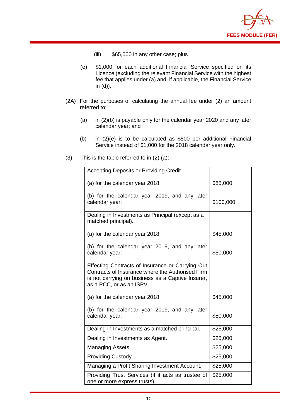

- (iii) \$65,000 in any other case; plus
- (e) \$1,000 for each additional Financial Service specified on its Licence (excluding the relevant Financial Service with the highest fee that applies under (a) and, if applicable, the Financial Service in (d)).
- (2A) For the purposes of calculating the annual fee under (2) an amount referred to:
	- (a) in (2)(b) is payable only for the calendar year 2020 and any later calendar year; and
	- (b) in (2)(e) is to be calculated as \$500 per additional Financial Service instead of \$1,000 for the 2018 calendar year only.
- (3) This is the table referred to in (2) (a):

| Accepting Deposits or Providing Credit.                                                                                                                                               |           |
|---------------------------------------------------------------------------------------------------------------------------------------------------------------------------------------|-----------|
| (a) for the calendar year 2018:                                                                                                                                                       | \$85,000  |
| (b) for the calendar year 2019, and any later<br>calendar year:                                                                                                                       | \$100,000 |
| Dealing in Investments as Principal (except as a<br>matched principal).                                                                                                               |           |
| (a) for the calendar year 2018:                                                                                                                                                       | \$45,000  |
| (b) for the calendar year 2019, and any later<br>calendar year:                                                                                                                       | \$50,000  |
| Effecting Contracts of Insurance or Carrying Out<br>Contracts of Insurance where the Authorised Firm<br>is not carrying on business as a Captive Insurer,<br>as a PCC, or as an ISPV. |           |
| (a) for the calendar year 2018:                                                                                                                                                       | \$45,000  |
| (b) for the calendar year 2019, and any later<br>calendar year:                                                                                                                       | \$50,000  |
| Dealing in Investments as a matched principal.                                                                                                                                        | \$25,000  |
| Dealing in Investments as Agent.                                                                                                                                                      | \$25,000  |
| Managing Assets.                                                                                                                                                                      | \$25,000  |
| Providing Custody.                                                                                                                                                                    | \$25,000  |
| Managing a Profit Sharing Investment Account.                                                                                                                                         | \$25,000  |
| Providing Trust Services (if it acts as trustee of<br>one or more express trusts).                                                                                                    | \$25,000  |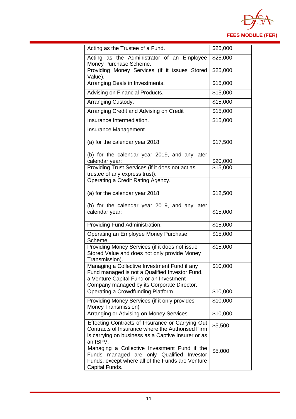

| Acting as the Trustee of a Fund.                                                                                                                                                        | \$25,000 |
|-----------------------------------------------------------------------------------------------------------------------------------------------------------------------------------------|----------|
| Acting as the Administrator of an Employee<br>Money Purchase Scheme.                                                                                                                    | \$25,000 |
| Providing Money Services (if it issues Stored<br>Value).                                                                                                                                | \$25,000 |
| Arranging Deals in Investments.                                                                                                                                                         | \$15,000 |
| Advising on Financial Products.                                                                                                                                                         | \$15,000 |
| Arranging Custody.                                                                                                                                                                      | \$15,000 |
| Arranging Credit and Advising on Credit                                                                                                                                                 | \$15,000 |
| Insurance Intermediation.                                                                                                                                                               | \$15,000 |
| Insurance Management.                                                                                                                                                                   |          |
| (a) for the calendar year 2018:                                                                                                                                                         | \$17,500 |
| (b) for the calendar year 2019, and any later<br>calendar year:                                                                                                                         | \$20,000 |
| Providing Trust Services (if it does not act as                                                                                                                                         | \$15,000 |
| trustee of any express trust).<br>Operating a Credit Rating Agency.                                                                                                                     |          |
| (a) for the calendar year 2018:                                                                                                                                                         | \$12,500 |
| (b) for the calendar year 2019, and any later<br>calendar year:                                                                                                                         | \$15,000 |
| Providing Fund Administration.                                                                                                                                                          | \$15,000 |
| Operating an Employee Money Purchase<br>Scheme.                                                                                                                                         | \$15,000 |
| Providing Money Services (if it does not issue<br>Stored Value and does not only provide Money<br>Transmission).                                                                        | \$15,000 |
| Managing a Collective Investment Fund if any<br>Fund managed is not a Qualified Investor Fund,<br>a Venture Capital Fund or an Investment<br>Company managed by its Corporate Director. | \$10,000 |
| Operating a Crowdfunding Platform.                                                                                                                                                      | \$10,000 |
| Providing Money Services (if it only provides<br>Money Transmission)                                                                                                                    | \$10,000 |
| Arranging or Advising on Money Services.                                                                                                                                                | \$10,000 |
| Effecting Contracts of Insurance or Carrying Out<br>Contracts of Insurance where the Authorised Firm<br>is carrying on business as a Captive Insurer or as<br>an ISPV.                  | \$5,500  |
| Managing a Collective Investment Fund if the<br>Funds managed are only Qualified Investor<br>Funds, except where all of the Funds are Venture<br>Capital Funds.                         | \$5,000  |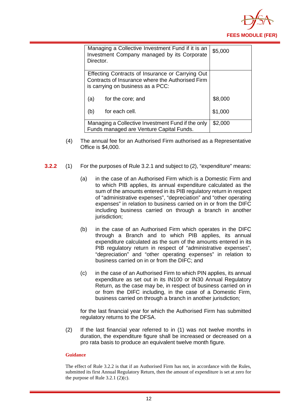

| Managing a Collective Investment Fund if it is an<br>Investment Company managed by its Corporate<br>Director.                             | \$5,000 |
|-------------------------------------------------------------------------------------------------------------------------------------------|---------|
| Effecting Contracts of Insurance or Carrying Out<br>Contracts of Insurance where the Authorised Firm<br>is carrying on business as a PCC: |         |
| (a)<br>for the core; and                                                                                                                  | \$8,000 |
| for each cell.<br>(b)                                                                                                                     | \$1,000 |
| Managing a Collective Investment Fund if the only<br>Funds managed are Venture Capital Funds.                                             | \$2,000 |

- (4) The annual fee for an Authorised Firm authorised as a Representative Office is \$4,000.
- **3.2.2** (1) For the purposes of Rule 3.2.1 and subject to (2), "expenditure" means:
	- (a) in the case of an Authorised Firm which is a Domestic Firm and to which PIB applies, its annual expenditure calculated as the sum of the amounts entered in its PIB regulatory return in respect of "administrative expenses", "depreciation" and "other operating expenses" in relation to business carried on in or from the DIFC including business carried on through a branch in another jurisdiction:
	- (b) in the case of an Authorised Firm which operates in the DIFC through a Branch and to which PIB applies, its annual expenditure calculated as the sum of the amounts entered in its PIB regulatory return in respect of "administrative expenses", "depreciation" and "other operating expenses" in relation to business carried on in or from the DIFC; and
	- (c) in the case of an Authorised Firm to which PIN applies, its annual expenditure as set out in its IN100 or IN30 Annual Regulatory Return, as the case may be, in respect of business carried on in or from the DIFC including, in the case of a Domestic Firm, business carried on through a branch in another jurisdiction;

for the last financial year for which the Authorised Firm has submitted regulatory returns to the DFSA.

(2) If the last financial year referred to in (1) was not twelve months in duration, the expenditure figure shall be increased or decreased on a pro rata basis to produce an equivalent twelve month figure.

#### **Guidance**

The effect of Rule 3.2.2 is that if an Authorised Firm has not, in accordance with the Rules, submitted its first Annual Regulatory Return, then the amount of expenditure is set at zero for the purpose of Rule  $3.2.1$  (2)(c).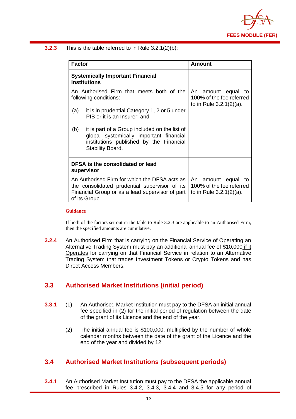

**3.2.3** This is the table referred to in Rule 3.2.1(2)(b):

| <b>Factor</b> |                                                                                                                                                                    | Amount                                                                          |
|---------------|--------------------------------------------------------------------------------------------------------------------------------------------------------------------|---------------------------------------------------------------------------------|
|               | <b>Systemically Important Financial</b><br><b>Institutions</b>                                                                                                     |                                                                                 |
|               | An Authorised Firm that meets both of the<br>following conditions:                                                                                                 | An amount equal<br>to<br>100% of the fee referred<br>to in Rule $3.2.1(2)(a)$ . |
| (a)           | it is in prudential Category 1, 2 or 5 under<br>PIB or it is an Insurer; and                                                                                       |                                                                                 |
| (b)           | it is part of a Group included on the list of<br>global systemically important financial<br>institutions published by the Financial<br>Stability Board.            |                                                                                 |
|               | DFSA is the consolidated or lead<br>supervisor                                                                                                                     |                                                                                 |
|               | An Authorised Firm for which the DFSA acts as<br>the consolidated prudential supervisor of its<br>Financial Group or as a lead supervisor of part<br>of its Group. | An amount equal<br>to<br>100% of the fee referred<br>to in Rule $3.2.1(2)(a)$ . |

#### **Guidance**

If both of the factors set out in the table to Rule 3.2.3 are applicable to an Authorised Firm, then the specified amounts are cumulative.

**3.2.4** An Authorised Firm that is carrying on the Financial Service of Operating an Alternative Trading System must pay an additional annual fee of \$10,000 if it Operates for carrying on that Financial Service in relation to an Alternative Trading System that trades Investment Tokens or Crypto Tokens and has Direct Access Members.

## **3.3 Authorised Market Institutions (initial period)**

- **3.3.1** (1) An Authorised Market Institution must pay to the DFSA an initial annual fee specified in (2) for the initial period of regulation between the date of the grant of its Licence and the end of the year.
	- (2) The initial annual fee is \$100,000, multiplied by the number of whole calendar months between the date of the grant of the Licence and the end of the year and divided by 12.

## **3.4 Authorised Market Institutions (subsequent periods)**

**3.4.1** An Authorised Market Institution must pay to the DFSA the applicable annual fee prescribed in Rules 3.4.2, 3.4.3, 3.4.4 and 3.4.5 for any period of